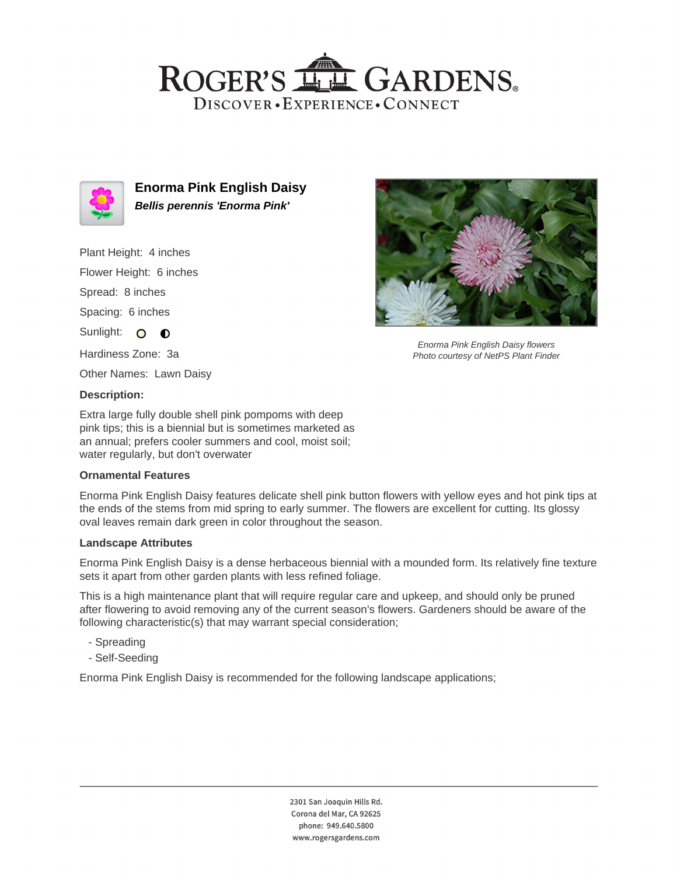## ROGER'S LL GARDENS. DISCOVER · EXPERIENCE · CONNECT



**Enorma Pink English Daisy Bellis perennis 'Enorma Pink'**

Plant Height: 4 inches Flower Height: 6 inches Spread: 8 inches Spacing: 6 inches Sunlight: O O Hardiness Zone: 3a

Other Names: Lawn Daisy

### **Description:**

Extra large fully double shell pink pompoms with deep pink tips; this is a biennial but is sometimes marketed as an annual; prefers cooler summers and cool, moist soil; water regularly, but don't overwater

### **Ornamental Features**

Enorma Pink English Daisy features delicate shell pink button flowers with yellow eyes and hot pink tips at the ends of the stems from mid spring to early summer. The flowers are excellent for cutting. Its glossy oval leaves remain dark green in color throughout the season.

#### **Landscape Attributes**

Enorma Pink English Daisy is a dense herbaceous biennial with a mounded form. Its relatively fine texture sets it apart from other garden plants with less refined foliage.

This is a high maintenance plant that will require regular care and upkeep, and should only be pruned after flowering to avoid removing any of the current season's flowers. Gardeners should be aware of the following characteristic(s) that may warrant special consideration;

- Spreading
- Self-Seeding

Enorma Pink English Daisy is recommended for the following landscape applications;



Enorma Pink English Daisy flowers Photo courtesy of NetPS Plant Finder

2301 San Joaquin Hills Rd. Corona del Mar, CA 92625 phone: 949.640.5800 www.rogersgardens.com